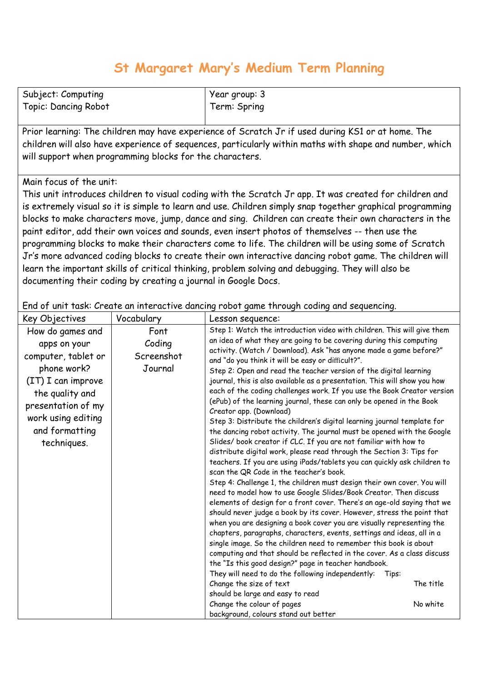## **St Margaret Mary's Medium Term Planning**

| Subject: Computing          | Year group: 3 |
|-----------------------------|---------------|
| <b>Topic: Dancing Robot</b> | Term: Spring  |

Prior learning: The children may have experience of Scratch Jr if used during KS1 or at home. The children will also have experience of sequences, particularly within maths with shape and number, which will support when programming blocks for the characters.

## Main focus of the unit:

This unit introduces children to visual coding with the Scratch Jr app. It was created for children and is extremely visual so it is simple to learn and use. Children simply snap together graphical programming blocks to make characters move, jump, dance and sing. Children can create their own characters in the paint editor, add their own voices and sounds, even insert photos of themselves -- then use the programming blocks to make their characters come to life. The children will be using some of Scratch Jr's more advanced coding blocks to create their own interactive dancing robot game. The children will learn the important skills of critical thinking, problem solving and debugging. They will also be documenting their coding by creating a journal in Google Docs.

End of unit task: Create an interactive dancing robot game through coding and sequencing.

| Key Objectives                                                                                                                                                                               | Vocabulary                              | Lesson sequence:                                                                                                                                                                                                                                                                                                                                                                                                                                                                                                                                                                                                                                                                                                                                                                                                                                                                                                                                                                                                                                                                                                                                                                                                                                                                                                                                                                                                                                                                                                                                                                                                                                                                                                                                                                                                                                                                                                              |
|----------------------------------------------------------------------------------------------------------------------------------------------------------------------------------------------|-----------------------------------------|-------------------------------------------------------------------------------------------------------------------------------------------------------------------------------------------------------------------------------------------------------------------------------------------------------------------------------------------------------------------------------------------------------------------------------------------------------------------------------------------------------------------------------------------------------------------------------------------------------------------------------------------------------------------------------------------------------------------------------------------------------------------------------------------------------------------------------------------------------------------------------------------------------------------------------------------------------------------------------------------------------------------------------------------------------------------------------------------------------------------------------------------------------------------------------------------------------------------------------------------------------------------------------------------------------------------------------------------------------------------------------------------------------------------------------------------------------------------------------------------------------------------------------------------------------------------------------------------------------------------------------------------------------------------------------------------------------------------------------------------------------------------------------------------------------------------------------------------------------------------------------------------------------------------------------|
| How do games and<br>apps on your<br>computer, tablet or<br>phone work?<br>(IT) I can improve<br>the quality and<br>presentation of my<br>work using editing<br>and formatting<br>techniques. | Font<br>Coding<br>Screenshot<br>Journal | Step 1: Watch the introduction video with children. This will give them<br>an idea of what they are going to be covering during this computing<br>activity. (Watch / Download). Ask "has anyone made a game before?"<br>and "do you think it will be easy or difficult?".<br>Step 2: Open and read the teacher version of the digital learning<br>journal, this is also available as a presentation. This will show you how<br>each of the coding challenges work. If you use the Book Creator version<br>(ePub) of the learning journal, these can only be opened in the Book<br>Creator app. (Download)<br>Step 3: Distribute the children's digital learning journal template for<br>the dancing robot activity. The journal must be opened with the Google<br>Slides/ book creator if CLC. If you are not familiar with how to<br>distribute digital work, please read through the Section 3: Tips for<br>teachers. If you are using iPads/tablets you can quickly ask children to<br>scan the QR Code in the teacher's book.<br>Step 4: Challenge 1, the children must design their own cover. You will<br>need to model how to use Google Slides/Book Creator. Then discuss<br>elements of design for a front cover. There's an age-old saying that we<br>should never judge a book by its cover. However, stress the point that<br>when you are designing a book cover you are visually representing the<br>chapters, paragraphs, characters, events, settings and ideas, all in a<br>single image. So the children need to remember this book is about<br>computing and that should be reflected in the cover. As a class discuss<br>the "Is this good design?" page in teacher handbook.<br>They will need to do the following independently:<br>Tips:<br>The title<br>Change the size of text<br>should be large and easy to read<br>Change the colour of pages<br>No white<br>background, colours stand out better |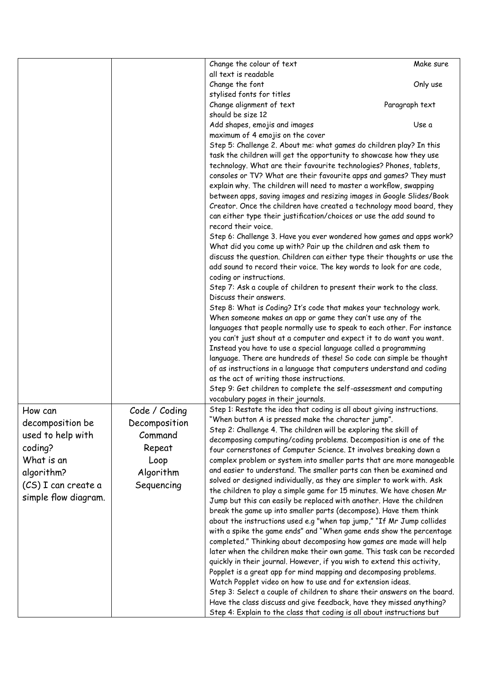|                      |               | Change the colour of text                                                | Make sure      |
|----------------------|---------------|--------------------------------------------------------------------------|----------------|
|                      |               | all text is readable                                                     |                |
|                      |               | Change the font                                                          | Only use       |
|                      |               | stylised fonts for titles                                                |                |
|                      |               | Change alignment of text                                                 | Paragraph text |
|                      |               | should be size 12                                                        |                |
|                      |               | Add shapes, emojis and images                                            | Use a          |
|                      |               | maximum of 4 emojis on the cover                                         |                |
|                      |               | Step 5: Challenge 2. About me: what games do children play? In this      |                |
|                      |               | task the children will get the opportunity to showcase how they use      |                |
|                      |               | technology. What are their favourite technologies? Phones, tablets,      |                |
|                      |               |                                                                          |                |
|                      |               | consoles or TV? What are their favourite apps and games? They must       |                |
|                      |               | explain why. The children will need to master a workflow, swapping       |                |
|                      |               | between apps, saving images and resizing images in Google Slides/Book    |                |
|                      |               | Creator. Once the children have created a technology mood board, they    |                |
|                      |               | can either type their justification/choices or use the add sound to      |                |
|                      |               | record their voice.                                                      |                |
|                      |               | Step 6: Challenge 3. Have you ever wondered how games and apps work?     |                |
|                      |               | What did you come up with? Pair up the children and ask them to          |                |
|                      |               | discuss the question. Children can either type their thoughts or use the |                |
|                      |               | add sound to record their voice. The key words to look for are code,     |                |
|                      |               | coding or instructions.                                                  |                |
|                      |               | Step 7: Ask a couple of children to present their work to the class.     |                |
|                      |               | Discuss their answers.                                                   |                |
|                      |               | Step 8: What is Coding? It's code that makes your technology work.       |                |
|                      |               | When someone makes an app or game they can't use any of the              |                |
|                      |               | languages that people normally use to speak to each other. For instance  |                |
|                      |               | you can't just shout at a computer and expect it to do want you want.    |                |
|                      |               | Instead you have to use a special language called a programming          |                |
|                      |               | language. There are hundreds of these! So code can simple be thought     |                |
|                      |               | of as instructions in a language that computers understand and coding    |                |
|                      |               | as the act of writing those instructions.                                |                |
|                      |               | Step 9: Get children to complete the self-assessment and computing       |                |
|                      |               | vocabulary pages in their journals.                                      |                |
| How can              | Code / Coding | Step 1: Restate the idea that coding is all about giving instructions.   |                |
| decomposition be     | Decomposition | "When button A is pressed make the character jump".                      |                |
| used to help with    | Command       | Step 2: Challenge 4. The children will be exploring the skill of         |                |
|                      |               | decomposing computing/coding problems. Decomposition is one of the       |                |
| coding?              | Repeat        | four cornerstones of Computer Science. It involves breaking down a       |                |
| What is an           | Loop          | complex problem or system into smaller parts that are more manageable    |                |
| algorithm?           | Algorithm     | and easier to understand. The smaller parts can then be examined and     |                |
| (CS) I can create a  | Sequencing    | solved or designed individually, as they are simpler to work with. Ask   |                |
|                      |               | the children to play a simple game for 15 minutes. We have chosen Mr     |                |
| simple flow diagram. |               | Jump but this can easily be replaced with another. Have the children     |                |
|                      |               | break the game up into smaller parts (decompose). Have them think        |                |
|                      |               | about the instructions used e.g "when tap jump," "If Mr Jump collides    |                |
|                      |               | with a spike the game ends" and "When game ends show the percentage      |                |
|                      |               | completed." Thinking about decomposing how games are made will help      |                |
|                      |               | later when the children make their own game. This task can be recorded   |                |
|                      |               | quickly in their journal. However, if you wish to extend this activity,  |                |
|                      |               | Popplet is a great app for mind mapping and decomposing problems.        |                |
|                      |               | Watch Popplet video on how to use and for extension ideas.               |                |
|                      |               | Step 3: Select a couple of children to share their answers on the board. |                |
|                      |               | Have the class discuss and give feedback, have they missed anything?     |                |
|                      |               | Step 4: Explain to the class that coding is all about instructions but   |                |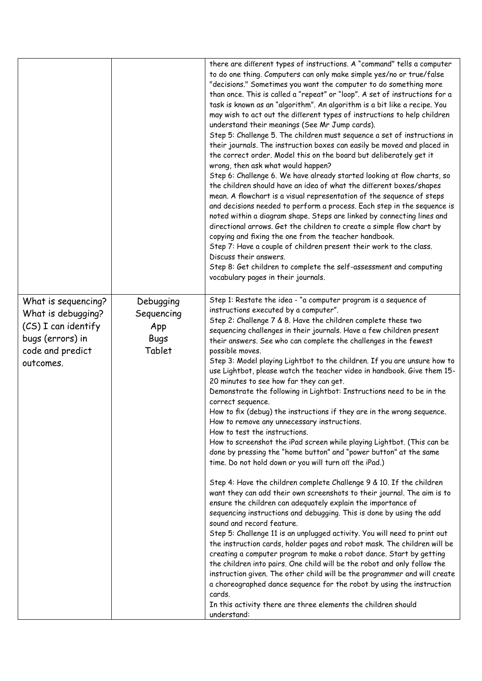| Step 1: Restate the idea - "a computer program is a sequence of<br>What is sequencing?<br>Debugging<br>instructions executed by a computer".<br>What is debugging?<br>Sequencing<br>Step 2: Challenge 7 & 8. Have the children complete these two<br>(CS) I can identify<br>App<br>sequencing challenges in their journals. Have a few children present<br>bugs (errors) in<br><b>Bugs</b><br>their answers. See who can complete the challenges in the fewest<br>Tablet<br>code and predict<br>possible moves.<br>Step 3: Model playing Lightbot to the children. If you are unsure how to<br>outcomes.<br>20 minutes to see how far they can get.<br>Demonstrate the following in Lightbot: Instructions need to be in the<br>correct sequence.<br>How to fix (debug) the instructions if they are in the wrong sequence.<br>How to remove any unnecessary instructions.<br>How to test the instructions.<br>How to screenshot the iPad screen while playing Lightbot. (This can be<br>done by pressing the "home button" and "power button" at the same<br>time. Do not hold down or you will turn off the iPad.)<br>Step 4: Have the children complete Challenge 9 & 10. If the children<br>want they can add their own screenshots to their journal. The aim is to<br>ensure the children can adequately explain the importance of<br>sequencing instructions and debugging. This is done by using the add<br>sound and record feature.<br>Step 5: Challenge 11 is an unplugged activity. You will need to print out<br>the instruction cards, holder pages and robot mask. The children will be<br>creating a computer program to make a robot dance. Start by getting<br>the children into pairs. One child will be the robot and only follow the<br>a choreographed dance sequence for the robot by using the instruction |  | there are different types of instructions. A "command" tells a computer<br>to do one thing. Computers can only make simple yes/no or true/false<br>"decisions." Sometimes you want the computer to do something more<br>than once. This is called a "repeat" or "loop". A set of instructions for a<br>task is known as an "algorithm". An algorithm is a bit like a recipe. You<br>may wish to act out the different types of instructions to help children<br>understand their meanings (See Mr Jump cards).<br>Step 5: Challenge 5. The children must sequence a set of instructions in<br>their journals. The instruction boxes can easily be moved and placed in<br>the correct order. Model this on the board but deliberately get it<br>wrong, then ask what would happen?<br>Step 6: Challenge 6. We have already started looking at flow charts, so<br>the children should have an idea of what the different boxes/shapes<br>mean. A flowchart is a visual representation of the sequence of steps<br>and decisions needed to perform a process. Each step in the sequence is<br>noted within a diagram shape. Steps are linked by connecting lines and<br>directional arrows. Get the children to create a simple flow chart by<br>copying and fixing the one from the teacher handbook.<br>Step 7: Have a couple of children present their work to the class.<br>Discuss their answers.<br>Step 8: Get children to complete the self-assessment and computing<br>vocabulary pages in their journals. |
|-----------------------------------------------------------------------------------------------------------------------------------------------------------------------------------------------------------------------------------------------------------------------------------------------------------------------------------------------------------------------------------------------------------------------------------------------------------------------------------------------------------------------------------------------------------------------------------------------------------------------------------------------------------------------------------------------------------------------------------------------------------------------------------------------------------------------------------------------------------------------------------------------------------------------------------------------------------------------------------------------------------------------------------------------------------------------------------------------------------------------------------------------------------------------------------------------------------------------------------------------------------------------------------------------------------------------------------------------------------------------------------------------------------------------------------------------------------------------------------------------------------------------------------------------------------------------------------------------------------------------------------------------------------------------------------------------------------------------------------------------------------------------------------------------------------------------------------|--|------------------------------------------------------------------------------------------------------------------------------------------------------------------------------------------------------------------------------------------------------------------------------------------------------------------------------------------------------------------------------------------------------------------------------------------------------------------------------------------------------------------------------------------------------------------------------------------------------------------------------------------------------------------------------------------------------------------------------------------------------------------------------------------------------------------------------------------------------------------------------------------------------------------------------------------------------------------------------------------------------------------------------------------------------------------------------------------------------------------------------------------------------------------------------------------------------------------------------------------------------------------------------------------------------------------------------------------------------------------------------------------------------------------------------------------------------------------------------------------------------------------|
| In this activity there are three elements the children should                                                                                                                                                                                                                                                                                                                                                                                                                                                                                                                                                                                                                                                                                                                                                                                                                                                                                                                                                                                                                                                                                                                                                                                                                                                                                                                                                                                                                                                                                                                                                                                                                                                                                                                                                                     |  | use Lightbot, please watch the teacher video in handbook. Give them 15-<br>instruction given. The other child will be the programmer and will create<br>cards.                                                                                                                                                                                                                                                                                                                                                                                                                                                                                                                                                                                                                                                                                                                                                                                                                                                                                                                                                                                                                                                                                                                                                                                                                                                                                                                                                   |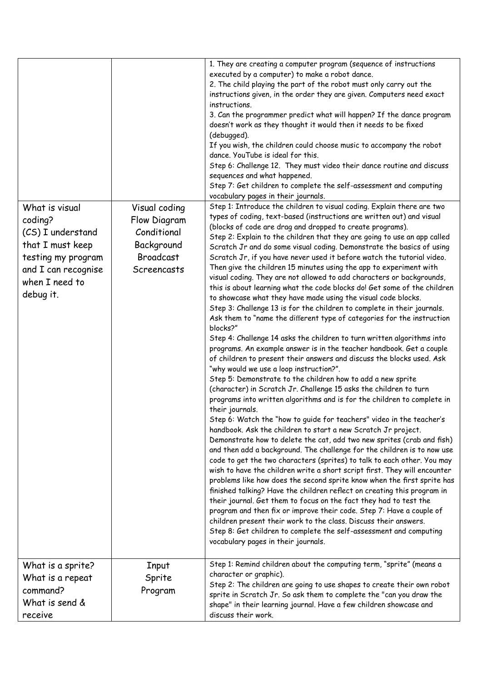| What is visual<br>coding?<br>(CS) I understand<br>that I must keep<br>testing my program<br>and I can recognise<br>when I need to<br>debug it. | Visual coding<br>Flow Diagram<br>Conditional<br>Background<br><b>Broadcast</b><br>Screencasts | 1. They are creating a computer program (sequence of instructions<br>executed by a computer) to make a robot dance.<br>2. The child playing the part of the robot must only carry out the<br>instructions given, in the order they are given. Computers need exact<br>instructions.<br>3. Can the programmer predict what will happen? If the dance program<br>doesn't work as they thought it would then it needs to be fixed<br>(debugged).<br>If you wish, the children could choose music to accompany the robot<br>dance. YouTube is ideal for this.<br>Step 6: Challenge 12. They must video their dance routine and discuss<br>sequences and what happened.<br>Step 7: Get children to complete the self-assessment and computing<br>vocabulary pages in their journals.<br>Step 1: Introduce the children to visual coding. Explain there are two<br>types of coding, text-based (instructions are written out) and visual<br>(blocks of code are drag and dropped to create programs).<br>Step 2: Explain to the children that they are going to use an app called<br>Scratch Jr and do some visual coding. Demonstrate the basics of using<br>Scratch Jr, if you have never used it before watch the tutorial video.<br>Then give the children 15 minutes using the app to experiment with<br>visual coding. They are not allowed to add characters or backgrounds,<br>this is about learning what the code blocks do! Get some of the children<br>to showcase what they have made using the visual code blocks.<br>Step 3: Challenge 13 is for the children to complete in their journals.<br>Ask them to "name the different type of categories for the instruction<br>blocks?"<br>Step 4: Challenge 14 asks the children to turn written algorithms into<br>programs. An example answer is in the teacher handbook. Get a couple<br>of children to present their answers and discuss the blocks used. Ask<br>"why would we use a loop instruction?".<br>Step 5: Demonstrate to the children how to add a new sprite<br>(character) in Scratch Jr. Challenge 15 asks the children to turn<br>programs into written algorithms and is for the children to complete in<br>their journals.<br>Step 6: Watch the "how to guide for teachers" video in the teacher's<br>handbook. Ask the children to start a new Scratch Jr project.<br>Demonstrate how to delete the cat, add two new sprites (crab and fish)<br>and then add a background. The challenge for the children is to now use<br>code to get the two characters (sprites) to talk to each other. You may<br>wish to have the children write a short script first. They will encounter<br>problems like how does the second sprite know when the first sprite has<br>finished talking? Have the children reflect on creating this program in<br>their journal. Get them to focus on the fact they had to test the<br>program and then fix or improve their code. Step 7: Have a couple of<br>children present their work to the class. Discuss their answers.<br>Step 8: Get children to complete the self-assessment and computing |
|------------------------------------------------------------------------------------------------------------------------------------------------|-----------------------------------------------------------------------------------------------|--------------------------------------------------------------------------------------------------------------------------------------------------------------------------------------------------------------------------------------------------------------------------------------------------------------------------------------------------------------------------------------------------------------------------------------------------------------------------------------------------------------------------------------------------------------------------------------------------------------------------------------------------------------------------------------------------------------------------------------------------------------------------------------------------------------------------------------------------------------------------------------------------------------------------------------------------------------------------------------------------------------------------------------------------------------------------------------------------------------------------------------------------------------------------------------------------------------------------------------------------------------------------------------------------------------------------------------------------------------------------------------------------------------------------------------------------------------------------------------------------------------------------------------------------------------------------------------------------------------------------------------------------------------------------------------------------------------------------------------------------------------------------------------------------------------------------------------------------------------------------------------------------------------------------------------------------------------------------------------------------------------------------------------------------------------------------------------------------------------------------------------------------------------------------------------------------------------------------------------------------------------------------------------------------------------------------------------------------------------------------------------------------------------------------------------------------------------------------------------------------------------------------------------------------------------------------------------------------------------------------------------------------------------------------------------------------------------------------------------------------------------------------------------------------------------------------------------------------------------------------------------------------------------------------------------------------------------------------------------------------------------------------------------------------------------------------------------------------------|
|                                                                                                                                                |                                                                                               | vocabulary pages in their journals.                                                                                                                                                                                                                                                                                                                                                                                                                                                                                                                                                                                                                                                                                                                                                                                                                                                                                                                                                                                                                                                                                                                                                                                                                                                                                                                                                                                                                                                                                                                                                                                                                                                                                                                                                                                                                                                                                                                                                                                                                                                                                                                                                                                                                                                                                                                                                                                                                                                                                                                                                                                                                                                                                                                                                                                                                                                                                                                                                                                                                                                                    |
| What is a sprite?<br>What is a repeat<br>command?<br>What is send &<br>receive                                                                 | Input<br>Sprite<br>Program                                                                    | Step 1: Remind children about the computing term, "sprite" (means a<br>character or graphic).<br>Step 2: The children are going to use shapes to create their own robot<br>sprite in Scratch Jr. So ask them to complete the "can you draw the<br>shape" in their learning journal. Have a few children showcase and<br>discuss their work.                                                                                                                                                                                                                                                                                                                                                                                                                                                                                                                                                                                                                                                                                                                                                                                                                                                                                                                                                                                                                                                                                                                                                                                                                                                                                                                                                                                                                                                                                                                                                                                                                                                                                                                                                                                                                                                                                                                                                                                                                                                                                                                                                                                                                                                                                                                                                                                                                                                                                                                                                                                                                                                                                                                                                            |